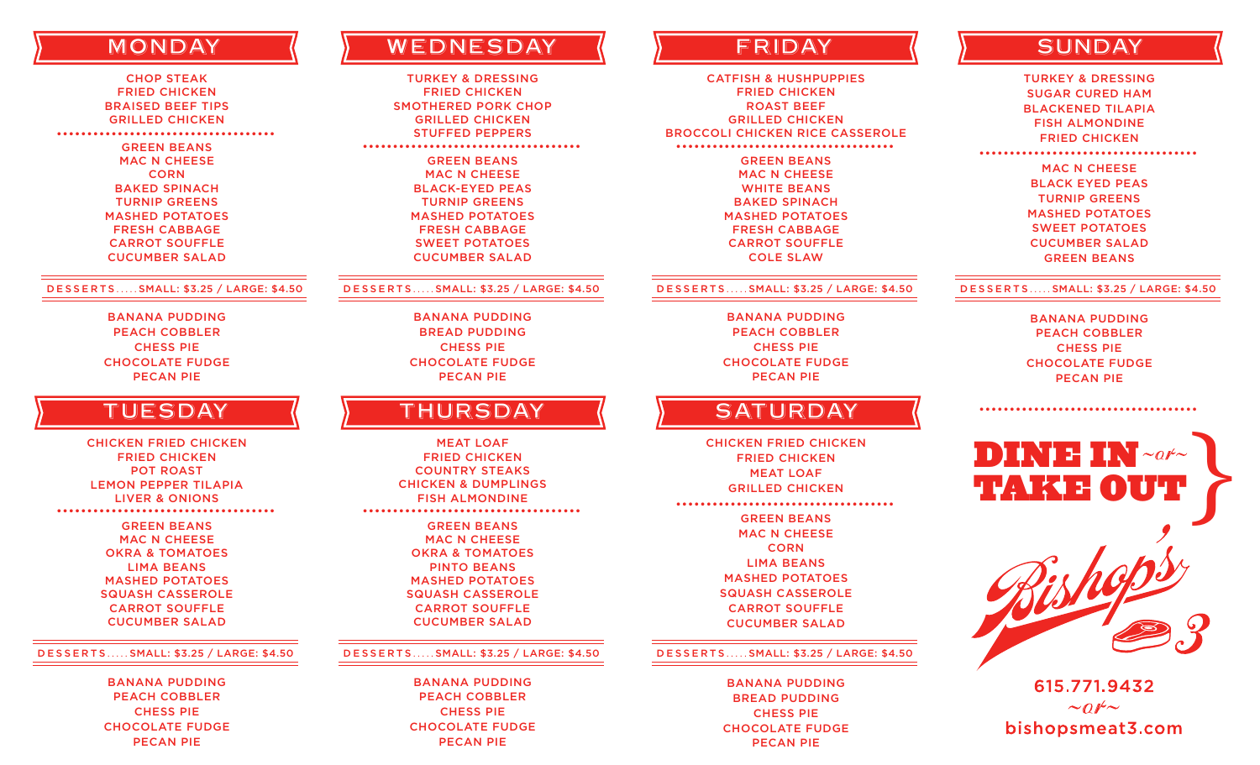## **MONDAY**

CHOP STEAK FRIED CHICKEN BRAISED BEEF TIPS GRILLED CHICKEN GREEN BEANS MAC N CHEESE **CORN** BAKED SPINACH TURNIP GREENS MASHED POTATOES FRESH CABBAGE CARROT SOUFFLE CUCUMBER SALAD ••••••••••••••••••••••••••••••••••••

#### DESSERTS ..... SMALL: \$3.25 / LARGE: \$4.50

BANANA PUDDING PEACH COBBLER CHESS PIE CHOCOLATE FUDGE PECAN PIE

## **TUESDAY**

CHICKEN FRIED CHICKEN FRIED CHICKEN POT ROAST LEMON PEPPER TILAPIA LIVER & ONIONS GREEN BEANS MAC N CHEESE OKRA & TOMATOES LIMA BEANS MASHED POTATOES SQUASH CASSEROLE ••••••••••••••••••••••••••••••••••••

> CARROT SOUFFLE CUCUMBER SALAD

#### DESSERTS ..... SMALL: \$3.25 / LARGE: \$4.50

BANANA PUDDING PEACH COBBLER CHESS PIE CHOCOLATE FUDGE PECAN PIE

# **WEDNESDAY**

TURKEY & DRESSING FRIED CHICKEN SMOTHERED PORK CHOP GRILLED CHICKEN STUFFED PEPPERS GREEN BEANS MAC N CHEESE BLACK-EYED PEAS TURNIP GREENS MASHED POTATOES FRESH CABBAGE SWEET POTATOES CUCUMBER SALAD ••••••••••••••••••••••••••••••••••••

#### DESSERTS ..... SMALL: \$3.25 / LARGE: \$4.50

BANANA PUDDING BREAD PUDDING CHESS PIE CHOCOLATE FUDGE PECAN PIE

## **THURSDAY**

MEAT LOAF FRIED CHICKEN COUNTRY STEAKS CHICKEN & DUMPLINGS FISH ALMONDINE GREEN BEANS MAC N CHEESE OKRA & TOMATOES PINTO BEANS MASHED POTATOES SQUASH CASSEROLE CARROT SOUFFLE CUCUMBER SALAD ••••••••••••••••••••••••••••••••••••

#### DESSERTS ..... SMALL: \$3.25 / LARGE: \$4.50

BANANA PUDDING PEACH COBBLER CHESS PIE CHOCOLATE FUDGE PECAN PIE

CATFISH & HUSHPUPPIES FRIED CHICKEN ROAST BEEF GRILLED CHICKEN BROCCOLI CHICKEN RICE CASSEROLE GREEN BEANS MAC N CHEESE WHITE BEANS BAKED SPINACH MASHED POTATOES FRESH CABBAGE CARROT SOUFFLE ••••••••••••••••••••••••••••••••••••

#### DESSERTS ..... SMALL: \$3.25 / LARGE: \$4.50

COLE SLAW

BANANA PUDDING PEACH COBBLER CHESS PIE CHOCOLATE FUDGE PECAN PIE

### **SATURDAY**

CHICKEN FRIED CHICKEN FRIED CHICKEN MEAT LOAF GRILLED CHICKEN ••••••••••••••••••••••••••••••••••••

> GREEN BEANS MAC N CHEESE CORN LIMA BEANS MASHED POTATOES SQUASH CASSEROLE CARROT SOUFFLE CUCUMBER SALAD

#### DESSERTS ..... SMALL: \$3.25 / LARGE: \$4.50

BANANA PUDDING BREAD PUDDING CHESS PIE CHOCOLATE FUDGE PECAN PIE

## FRIDAY ( ) SUNDAY

TURKEY & DRESSING SUGAR CURED HAM BLACKENED TILAPIA FISH ALMONDINE FRIED CHICKEN

••••••••••••••••••••••••••••••••••••

MAC N CHEESE BLACK EYED PEAS TURNIP GREENS MASHED POTATOES SWEET POTATOES CUCUMBER SALAD GREEN BEANS

#### DESSERTS ..... SMALL: \$3.25 / LARGE: \$4.50

BANANA PUDDING PEACH COBBLER CHESS PIE CHOCOLATE FUDGE PECAN PIE

••••••••••••••••••••••••••••••••••••



615.771.9432  $\sim$  or  $\sim$ bishopsmeat3.com